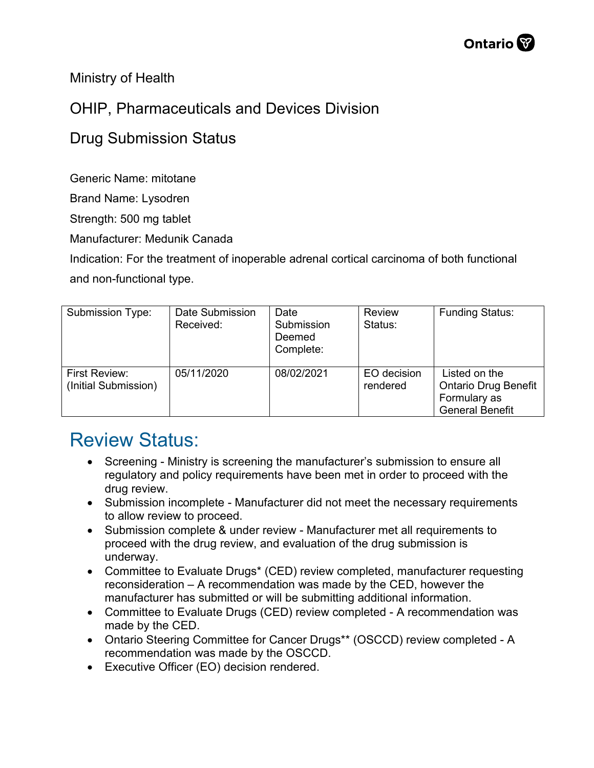

Ministry of Health

## OHIP, Pharmaceuticals and Devices Division

## Drug Submission Status

Generic Name: mitotane

Brand Name: Lysodren

Strength: 500 mg tablet

Manufacturer: Medunik Canada

Indication: For the treatment of inoperable adrenal cortical carcinoma of both functional and non-functional type.

| Submission Type:                      | Date Submission<br>Received: | Date<br>Submission<br>Deemed<br>Complete: | <b>Review</b><br>Status: | <b>Funding Status:</b>                                                                 |
|---------------------------------------|------------------------------|-------------------------------------------|--------------------------|----------------------------------------------------------------------------------------|
| First Review:<br>(Initial Submission) | 05/11/2020                   | 08/02/2021                                | EO decision<br>rendered  | Listed on the<br><b>Ontario Drug Benefit</b><br>Formulary as<br><b>General Benefit</b> |

## Review Status:

- Screening Ministry is screening the manufacturer's submission to ensure all regulatory and policy requirements have been met in order to proceed with the drug review.
- Submission incomplete Manufacturer did not meet the necessary requirements to allow review to proceed.
- Submission complete & under review Manufacturer met all requirements to proceed with the drug review, and evaluation of the drug submission is underway.
- Committee to Evaluate Drugs\* (CED) review completed, manufacturer requesting reconsideration – A recommendation was made by the CED, however the manufacturer has submitted or will be submitting additional information.
- Committee to Evaluate Drugs (CED) review completed A recommendation was made by the CED.
- Ontario Steering Committee for Cancer Drugs\*\* (OSCCD) review completed A recommendation was made by the OSCCD.
- Executive Officer (EO) decision rendered.